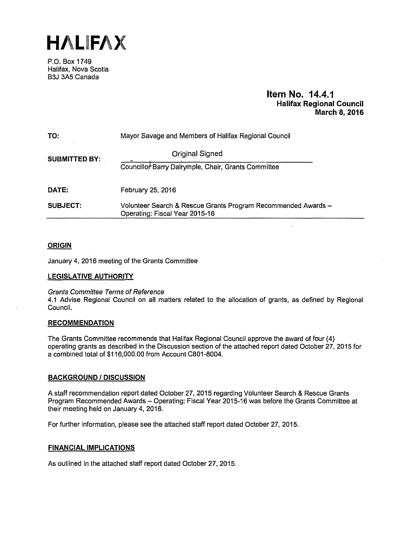**HALIFAX** 

P.O. Box 1749 Halifax, Nova Scotia B3J 3A5 Canada

# **Item No. 14.4.1 Halifax Regional Council March 8, 2016**

| TO:                  | Mayor Savage and Members of Halifax Regional Council                                            |  |
|----------------------|-------------------------------------------------------------------------------------------------|--|
| <b>SUBMITTED BY:</b> | <b>Original Signed</b>                                                                          |  |
|                      | Councillor Barry Dalrymple, Chair, Grants Committee                                             |  |
| DATE:                | February 25, 2016                                                                               |  |
| SUBJECT:             | Volunteer Search & Rescue Grants Program Recommended Awards -<br>Operating: Fiscal Year 2015-16 |  |

# **ORIGIN**

January 4, 2016 meeting of the Grants Committee

## **LEGISLATIVE AUTHORITY**

## Grants Committee Terms of Reference

4.1 Advise Regional Council on all matters related to the allocation of grants, as defined by Regional Council.

## **RECOMMENDATION**

The Grants Committee recommends that Halifax Regional Council approve the award of four (4) operating grants as described in the Discussion section of the attached report dated October 27, 2015 for a combined total of \$116,000.00 from Account C801-8004.

## **BACKGROUND I DISCUSSION**

A staff recommendation report dated October 27, 2015 regarding Volunteer Search & Rescue Grants Program Recommended Awards - Operating: Fiscal Year 2015-16 was before the Grants Committee at their meeting held on January 4, 2016.

For further information, please see the attached staff report dated October 27, 2015.

## **FINANCIAL IMPLICATIONS**

As outlined in the attached staff report dated October 27, 2015.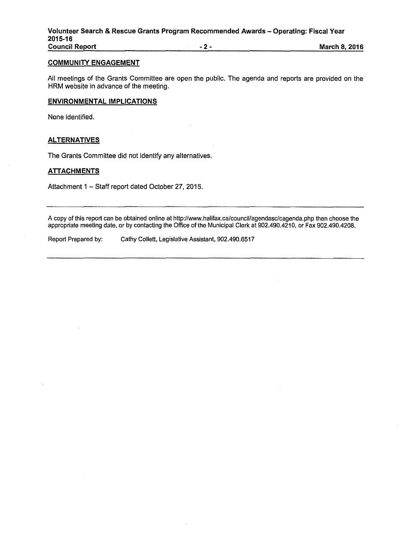### **COMMUNITY ENGAGEMENT**

All meetings of the Grants Committee are open the public. The agenda and reports are provided on the HRM website in advance of the meeting.

## **ENVIRONMENTAL IMPLICATIONS**

None identified.

# **ALTERNATIVES**

The Grants Committee did not identify any alternatives.

### **ATTACHMENTS**

Attachment 1 - Staff report dated October 27, 2015.

A copy of this report can be obtained online at http://www.halifax.ca/council/agendasc/cagenda.php then choose the appropriate meeting date, or by contacting the Office of the Municipal Clerk at 902.490.4210, or Fax 902.490.4208.

Report Prepared by: Cathy Collett, Legislative Assistant, 902.490.6517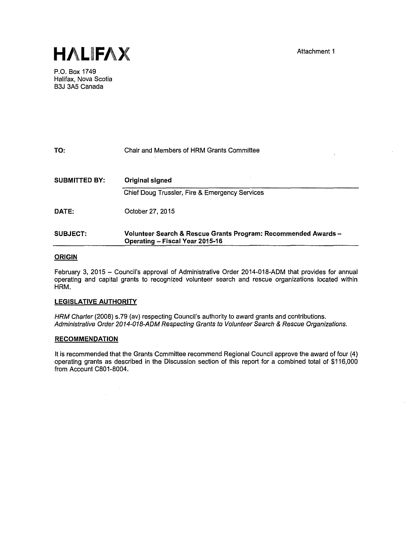

P.O. Box 1749 Halifax, Nova Scotia B3J 3A5 Canada

| TO:                  | Chair and Members of HRM Grants Committee                                                         |
|----------------------|---------------------------------------------------------------------------------------------------|
| <b>SUBMITTED BY:</b> | Original signed                                                                                   |
|                      | Chief Doug Trussler, Fire & Emergency Services                                                    |
| DATE:                | October 27, 2015                                                                                  |
| SUBJECT.             | Volunteer Search & Rescue Grants Program: Recommended Awards -<br>Operating - Fiscal Year 2015-16 |

### **ORIGIN**

February 3, 2015 - Council's approval of Administrative Order 2014-018-ADM that provides for annual operating and capital grants to recognized volunteer search and rescue organizations located within HRM.

### **LEGISLATIVE AUTHORITY**

HRM Charter (2008) s.79 (av) respecting Council's authority to award grants and contributions. Administrative Order 2014-018-ADM Respecting Grants to Volunteer Search & Rescue Organizations.

#### **RECOMMENDATION**

It Is recommended that the Grants Committee recommend Regional Council approve the award of four (4) operating grants as described in the Discussion section of this report for a combined total of \$116,000 from Account C801-8004.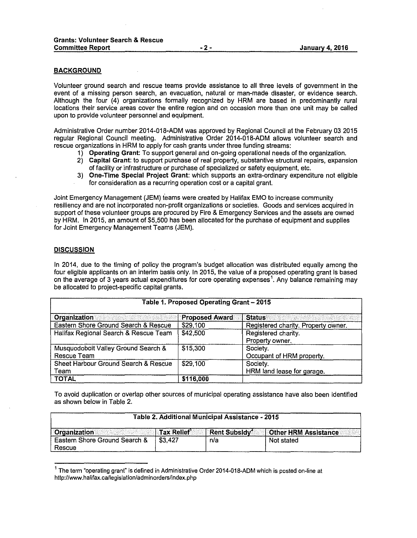### **BACKGROUND**

Volunteer ground search and rescue teams provide assistance to all three levels of government in the event of a missing person search, an evacuation, natural or man-made disaster, or evidence search. Although the four (4) organizations formally recognized by HRM are based in predominantly rural locations their service areas cover the entire region and on occasion more than one unit may be called upon to provide volunteer personnel and equipment.

Administrative Order number 2014-018-ADM was approved by Regional Council at the February 03 2015 regular Regional Council meeting. Administrative Order 2014-018-ADM allows volunteer search and rescue organizations in HRM to apply for cash grants under three funding streams:

- **1) Operating Grant:** To support general and on-going operational needs of the organization.
- 2) **Capital Grant:** to support purchase of real property, substantive structural repairs, expansion of facillty or infrastructure or purchase of specialized or safety equipment, etc.
- 3) **One-Time Special Project Grant:** which supports an extra-ordinary expenditure not eligible for consideration as a recurring operation cost or a capital grant.

Joint Emergency Management (JEM) ieams were created by Halifax EMO to increase community resiliency and are not incorporated non-profit organizations or societies. Goods and services acquired in support of these volunteer groups are procured by Fire & Emergency Services and the assets are owned by HRM. In 2015, an amount of \$5,500 has been allocated for the purchase of equipment and supplies for Joint Emergency Management Teams (JEM).

### **DISCUSSION**

In 2014, due to the timing of policy the program's budget allocation was distributed equally among the four eligible applicants on an interim basis only. In 2015, the value of a proposed operating grant is based on the average of 3 years actual expenditures for core operating expenses<sup>1</sup>. Any balance remaining may be allocated to project-specific capital grants.

| Table 1. Proposed Operating Grant - 2015 |                       |                                     |  |
|------------------------------------------|-----------------------|-------------------------------------|--|
| <b>Organization</b>                      | <b>Proposed Award</b> | <b>Status</b>                       |  |
| Eastern Shore Ground Search & Rescue     | \$29,100              | Registered charity. Property owner. |  |
| Halifax Regional Search & Rescue Team    | \$42,500              | Registered charity.                 |  |
|                                          |                       | Property owner.                     |  |
| Musquodoboit Valley Ground Search &      | \$15,300              | Society.                            |  |
| Rescue Team                              |                       | Occupant of HRM property.           |  |
| Sheet Harbour Ground Search & Rescue     | \$29,100              | Society.                            |  |
| Team                                     |                       | HRM land lease for garage.          |  |
| <b>TOTAL</b>                             | \$116,000             |                                     |  |

To avoid duplication or overlap other sources of municipal operating assistance have also been identified as shown below in Table 2.

| Table 2. Additional Municipal Assistance - 2015 |                   |                                |                              |
|-------------------------------------------------|-------------------|--------------------------------|------------------------------|
| <b>Organization</b>                             | <b>Tax Relief</b> | $\mid$ Rent Subsidy $\acute{}$ | <b>Cother HRM Assistance</b> |
| Eastern Shore Ground Search &<br>Rescue         | \$3.427           | n/a                            | Not stated                   |

 $1$  The term "operating grant" is defined in Administrative Order 2014-018-ADM which is posted on-line at http://www.halifax.ca/legislalion/adminorders/index.php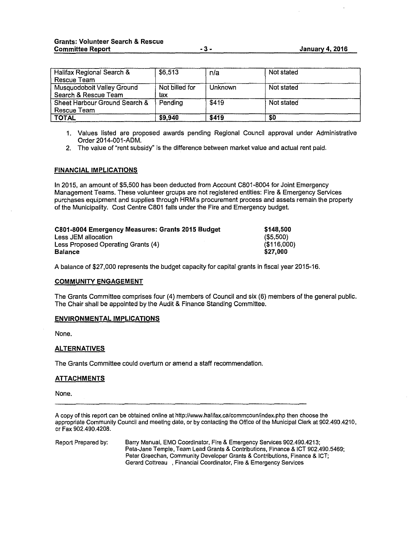| Halifax Regional Search &     | \$6,513        | n/a            | Not stated |
|-------------------------------|----------------|----------------|------------|
| Rescue Team                   |                |                |            |
| Musquodoboit Valley Ground    | Not billed for | <b>Unknown</b> | Not stated |
| Search & Rescue Team          | tax            |                |            |
| Sheet Harbour Ground Search & | Pendina        | \$419          | Not stated |
| Rescue Team                   |                |                |            |
| <b>TOTAL</b>                  | \$9,940        | \$419          | \$O        |

- **1.** Values listed are proposed awards pending Regional Council approval under Administrative Order 2014-001-ADM.
- 2. The value of "rent subsidy" is the difference between market value and actual rent paid.

### **FINANCIAL IMPLICATIONS**

In 2015, an amount of \$5,500 has been deducted from Account C801-8004 for Joint Emergency Management Teams. These volunteer groups are not registered entities: Fire & Emergency Services purchases equipment and supplies through HRM's procurement process and assets remain the property of the Municipality. Cost Centre C801 falls under the Fire and Emergency budget.

| C801-8004 Emergency Measures: Grants 2015 Budget | \$148.500      |
|--------------------------------------------------|----------------|
| Less JEM allocation                              | $($ \$5,500)   |
| Less Proposed Operating Grants (4)               | $($ \$116,000) |
| <b>Balance</b>                                   | \$27.000       |

A balance of \$27,000 represents the budget capacity for capital grants in fiscal year 2015-16.

#### **COMMUNITY ENGAGEMENT**

The Grants Committee comprises four (4) members of Council and six (6) members of the general public. The Chair shall be appointed by the Audit & Finance Standing Committee.

#### **ENVIRONMENTAL IMPLICATIONS**

None.

### **ALTERNATIVES**

The Grants Committee could overturn or amend a staff recommendation.

### **ATTACHMENTS**

None.

A copy of this report can be obtained online at http://www.halifax.ca/commcoun/index.php then choose the appropriate Community Council and meeting date, or by contacting the Office of the Municipal Clerk at 902.490.4210, or Fax 902.490.4208.

Report Prepared by: Barry Manual, EMO Coordinator, Fire & Emergency Services 902.490.4213; Peta-Jane Temple, Team Lead Grants & Contributions, Finance & ICT 902.490.5469; Peter Greechan, Community Developer Grants & Contributions, Finance & JCT; Gerard Cottreau , Financial Coordinator, Fire & Emergency Services